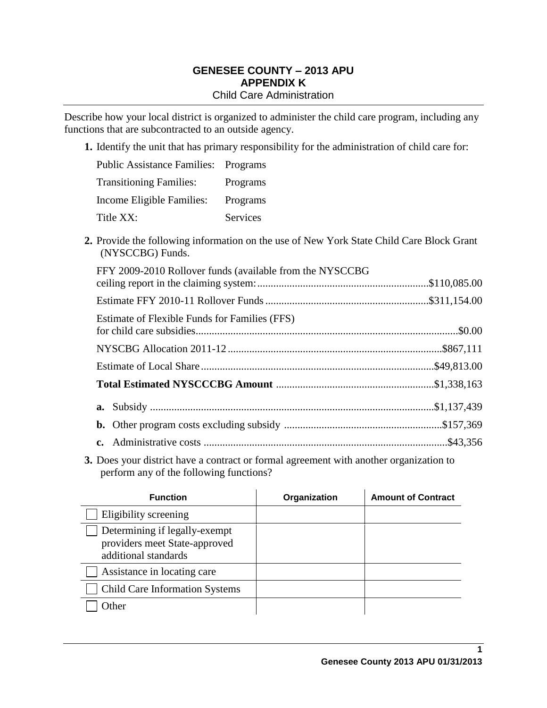### **GENESEE COUNTY – 2013 APU APPENDIX K** Child Care Administration

Describe how your local district is organized to administer the child care program, including any functions that are subcontracted to an outside agency.

**1.** Identify the unit that has primary responsibility for the administration of child care for:

| <b>Public Assistance Families: Programs</b> |          |
|---------------------------------------------|----------|
| <b>Transitioning Families:</b>              | Programs |
| Income Eligible Families:                   | Programs |
| Title XX:                                   | Services |

**2.** Provide the following information on the use of New York State Child Care Block Grant (NYSCCBG) Funds.

| FFY 2009-2010 Rollover funds (available from the NYSCCBG |  |
|----------------------------------------------------------|--|
|                                                          |  |
| Estimate of Flexible Funds for Families (FFS)            |  |
|                                                          |  |
|                                                          |  |
|                                                          |  |
|                                                          |  |
|                                                          |  |
|                                                          |  |

**3.** Does your district have a contract or formal agreement with another organization to perform any of the following functions?

| <b>Function</b>                                                                        | Organization | <b>Amount of Contract</b> |
|----------------------------------------------------------------------------------------|--------------|---------------------------|
| Eligibility screening                                                                  |              |                           |
| Determining if legally-exempt<br>providers meet State-approved<br>additional standards |              |                           |
| Assistance in locating care                                                            |              |                           |
| <b>Child Care Information Systems</b>                                                  |              |                           |
| <b>Other</b>                                                                           |              |                           |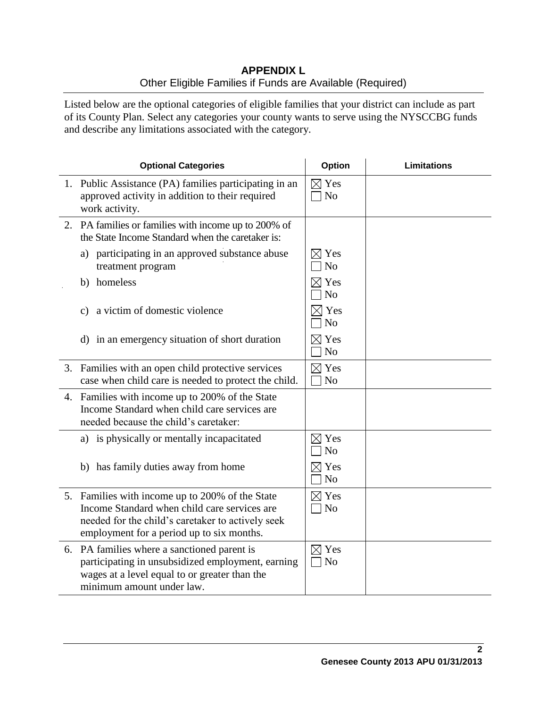# **APPENDIX L** Other Eligible Families if Funds are Available (Required)

Listed below are the optional categories of eligible families that your district can include as part of its County Plan. Select any categories your county wants to serve using the NYSCCBG funds and describe any limitations associated with the category.

| <b>Optional Categories</b>                                                                                                                                                                        | <b>Option</b>                     | <b>Limitations</b> |
|---------------------------------------------------------------------------------------------------------------------------------------------------------------------------------------------------|-----------------------------------|--------------------|
| 1. Public Assistance (PA) families participating in an<br>approved activity in addition to their required<br>work activity.                                                                       | $\boxtimes$ Yes<br>N <sub>o</sub> |                    |
| 2. PA families or families with income up to 200% of<br>the State Income Standard when the caretaker is:                                                                                          |                                   |                    |
| a) participating in an approved substance abuse<br>treatment program                                                                                                                              | $\boxtimes$ Yes<br>N <sub>o</sub> |                    |
| homeless<br>b)                                                                                                                                                                                    | $\boxtimes$ Yes<br>N <sub>o</sub> |                    |
| a victim of domestic violence<br>c)                                                                                                                                                               | $\times$ Yes<br>N <sub>o</sub>    |                    |
| d) in an emergency situation of short duration                                                                                                                                                    | $\boxtimes$ Yes<br>No             |                    |
| 3. Families with an open child protective services<br>case when child care is needed to protect the child.                                                                                        | $\boxtimes$ Yes<br>N <sub>o</sub> |                    |
| 4. Families with income up to 200% of the State<br>Income Standard when child care services are<br>needed because the child's caretaker:                                                          |                                   |                    |
| a) is physically or mentally incapacitated                                                                                                                                                        | $\boxtimes$ Yes<br>N <sub>o</sub> |                    |
| b) has family duties away from home                                                                                                                                                               | $\boxtimes$ Yes<br>N <sub>o</sub> |                    |
| 5. Families with income up to 200% of the State<br>Income Standard when child care services are<br>needed for the child's caretaker to actively seek<br>employment for a period up to six months. | $\boxtimes$ Yes<br>$\neg$ No      |                    |
| 6. PA families where a sanctioned parent is<br>participating in unsubsidized employment, earning<br>wages at a level equal to or greater than the<br>minimum amount under law.                    | $\boxtimes$ Yes<br>$\neg$ No      |                    |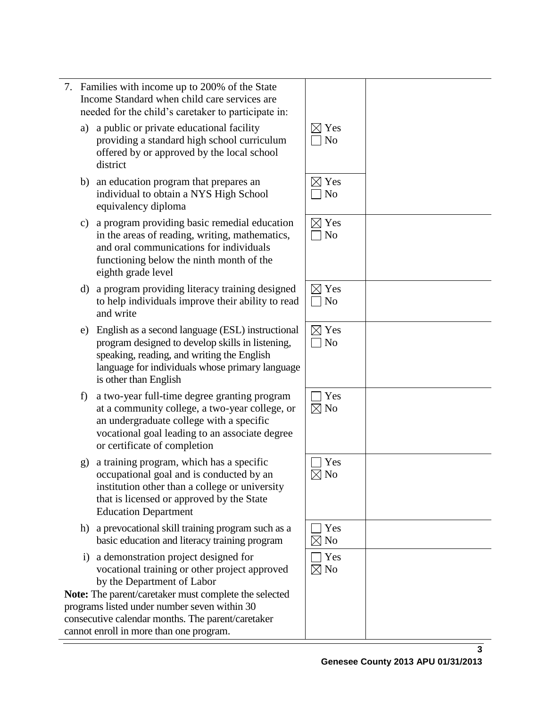| with income up to 200% of the State<br>tandard when child care services are<br>or the child's caretaker to participate in:                                                                                                                                 |                                   |  |
|------------------------------------------------------------------------------------------------------------------------------------------------------------------------------------------------------------------------------------------------------------|-----------------------------------|--|
| lic or private educational facility<br>ding a standard high school curriculum<br>ed by or approved by the local school<br>ct                                                                                                                               | $\boxtimes$ Yes<br>N <sub>o</sub> |  |
| ucation program that prepares an<br>idual to obtain a NYS High School<br>alency diploma                                                                                                                                                                    | $\boxtimes$ Yes<br>N <sub>o</sub> |  |
| gram providing basic remedial education<br>areas of reading, writing, mathematics,<br>ral communications for individuals<br>ioning below the ninth month of the<br>h grade level                                                                           | $\boxtimes$ Yes<br>N <sub>o</sub> |  |
| gram providing literacy training designed<br>p individuals improve their ability to read<br>vrite                                                                                                                                                          | $\boxtimes$ Yes<br>N <sub>o</sub> |  |
| sh as a second language (ESL) instructional<br>am designed to develop skills in listening,<br>ing, reading, and writing the English<br>age for individuals whose primary language<br>er than English                                                       | $\boxtimes$ Yes<br>N <sub>o</sub> |  |
| -year full-time degree granting program<br>ommunity college, a two-year college, or<br>dergraduate college with a specific<br>ional goal leading to an associate degree<br>rtificate of completion                                                         | Yes<br>$\boxtimes$ No             |  |
| ning program, which has a specific<br>pational goal and is conducted by an<br>ution other than a college or university<br>s licensed or approved by the State<br>ation Department                                                                          | Yes<br>$\boxtimes$ No             |  |
| vocational skill training program such as a<br>education and literacy training program                                                                                                                                                                     | Yes<br>$\boxtimes$ No             |  |
| nonstration project designed for<br>ional training or other project approved<br>e Department of Labor<br>rent/caretaker must complete the selected<br>ed under number seven within 30<br>alendar months. The parent/caretaker<br>in more than one program. | Yes<br>$\boxtimes$ No             |  |

- a) a public  $\alpha$ provid offere distric
- b) an edu indivi equiv
- c) a prog in the and  $\alpha$ functi eighth
- d) a pro $\mathfrak g$ to help individuals improve their ability to read and w
- e) Englis program speak<sup>-</sup> langua is other
- f) a twoat a community college, a two-year college, or an un vocati or cer
- g) a train occup institu that is Educa
- h) a prev basic
- i) a dem vocati by the

**Note:** The par programs listed under the number of the unit of the number of the number of the number of the number of the number of the number of the number of the number of the number of the number of the number of the number of the nu consecutive c cannot enroll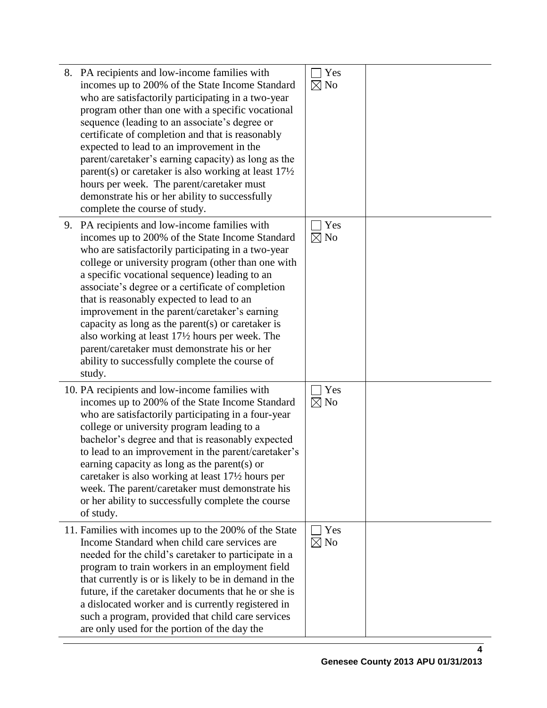| 8. PA recipients and low-income families with<br>incomes up to 200% of the State Income Standard<br>who are satisfactorily participating in a two-year<br>program other than one with a specific vocational<br>sequence (leading to an associate's degree or<br>certificate of completion and that is reasonably<br>expected to lead to an improvement in the<br>parent/caretaker's earning capacity) as long as the<br>parent(s) or caretaker is also working at least $17\frac{1}{2}$<br>hours per week. The parent/caretaker must<br>demonstrate his or her ability to successfully<br>complete the course of study.            | Yes<br>$\boxtimes$ No |  |
|------------------------------------------------------------------------------------------------------------------------------------------------------------------------------------------------------------------------------------------------------------------------------------------------------------------------------------------------------------------------------------------------------------------------------------------------------------------------------------------------------------------------------------------------------------------------------------------------------------------------------------|-----------------------|--|
| 9. PA recipients and low-income families with<br>incomes up to 200% of the State Income Standard<br>who are satisfactorily participating in a two-year<br>college or university program (other than one with<br>a specific vocational sequence) leading to an<br>associate's degree or a certificate of completion<br>that is reasonably expected to lead to an<br>improvement in the parent/caretaker's earning<br>capacity as long as the parent(s) or caretaker is<br>also working at least 17½ hours per week. The<br>parent/caretaker must demonstrate his or her<br>ability to successfully complete the course of<br>study. | Yes<br>$\boxtimes$ No |  |
| 10. PA recipients and low-income families with<br>incomes up to 200% of the State Income Standard<br>who are satisfactorily participating in a four-year<br>college or university program leading to a<br>bachelor's degree and that is reasonably expected<br>to lead to an improvement in the parent/caretaker's<br>earning capacity as long as the parent(s) or<br>caretaker is also working at least 17½ hours per<br>week. The parent/caretaker must demonstrate his<br>or her ability to successfully complete the course<br>of study.                                                                                       | Yes<br>$\boxtimes$ No |  |
| 11. Families with incomes up to the 200% of the State<br>Income Standard when child care services are<br>needed for the child's caretaker to participate in a<br>program to train workers in an employment field<br>that currently is or is likely to be in demand in the<br>future, if the caretaker documents that he or she is<br>a dislocated worker and is currently registered in<br>such a program, provided that child care services<br>are only used for the portion of the day the                                                                                                                                       | Yes<br>$\boxtimes$ No |  |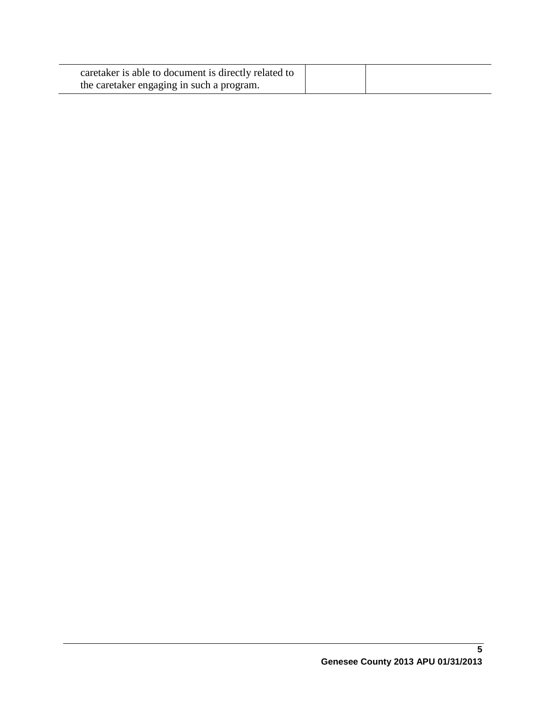| caretaker is able to document is directly related to |  |
|------------------------------------------------------|--|
| the caretaker engaging in such a program.            |  |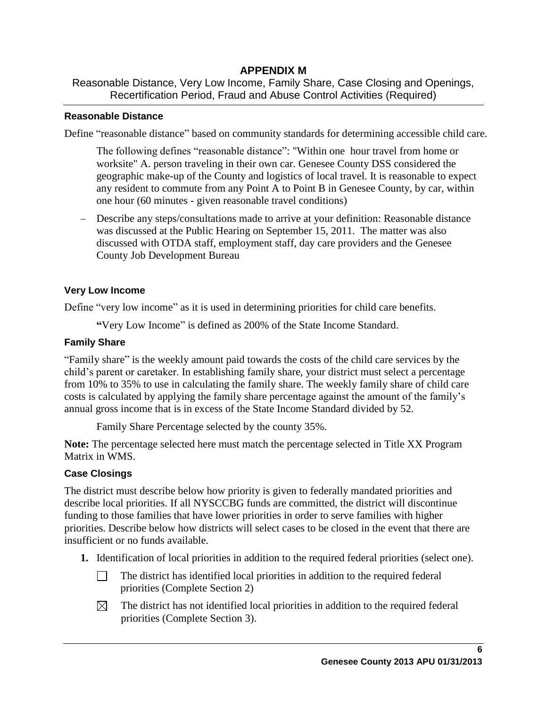# **APPENDIX M**

Reasonable Distance, Very Low Income, Family Share, Case Closing and Openings, Recertification Period, Fraud and Abuse Control Activities (Required)

## **Reasonable Distance**

Define "reasonable distance" based on community standards for determining accessible child care.

The following defines "reasonable distance": "Within one hour travel from home or worksite" A. person traveling in their own car. Genesee County DSS considered the geographic make-up of the County and logistics of local travel. It is reasonable to expect any resident to commute from any Point A to Point B in Genesee County, by car, within one hour (60 minutes - given reasonable travel conditions)

 Describe any steps/consultations made to arrive at your definition: Reasonable distance was discussed at the Public Hearing on September 15, 2011. The matter was also discussed with OTDA staff, employment staff, day care providers and the Genesee County Job Development Bureau

## **Very Low Income**

Define "very low income" as it is used in determining priorities for child care benefits.

**"**Very Low Income" is defined as 200% of the State Income Standard.

# **Family Share**

"Family share" is the weekly amount paid towards the costs of the child care services by the child's parent or caretaker. In establishing family share, your district must select a percentage from 10% to 35% to use in calculating the family share. The weekly family share of child care costs is calculated by applying the family share percentage against the amount of the family's annual gross income that is in excess of the State Income Standard divided by 52.

Family Share Percentage selected by the county 35%.

**Note:** The percentage selected here must match the percentage selected in Title XX Program Matrix in WMS.

# **Case Closings**

The district must describe below how priority is given to federally mandated priorities and describe local priorities. If all NYSCCBG funds are committed, the district will discontinue funding to those families that have lower priorities in order to serve families with higher priorities. Describe below how districts will select cases to be closed in the event that there are insufficient or no funds available.

- **1.** Identification of local priorities in addition to the required federal priorities (select one).
	- $\Box$ The district has identified local priorities in addition to the required federal priorities (Complete Section 2)
	- $\boxtimes$ The district has not identified local priorities in addition to the required federal priorities (Complete Section 3).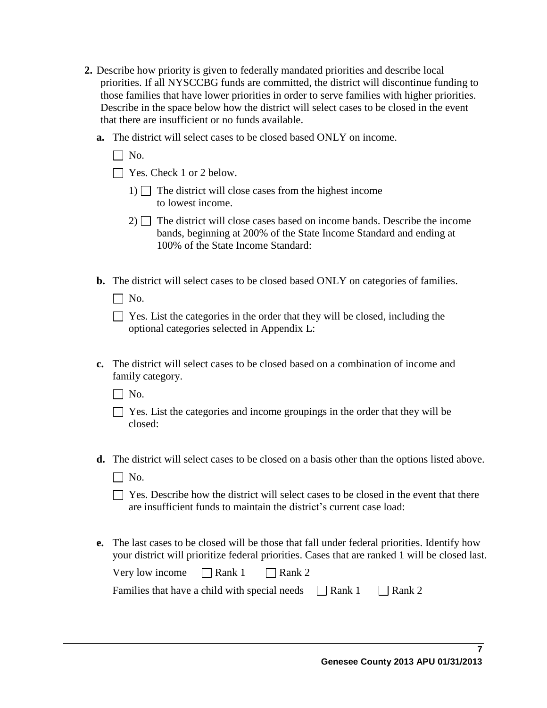- **2.** Describe how priority is given to federally mandated priorities and describe local priorities. If all NYSCCBG funds are committed, the district will discontinue funding to those families that have lower priorities in order to serve families with higher priorities. Describe in the space below how the district will select cases to be closed in the event that there are insufficient or no funds available.
	- **a.** The district will select cases to be closed based ONLY on income.
		- $\Box$  No.
		- $\Box$  Yes. Check 1 or 2 below.
			- 1)  $\Box$  The district will close cases from the highest income to lowest income.
			- $2)$  The district will close cases based on income bands. Describe the income bands, beginning at 200% of the State Income Standard and ending at 100% of the State Income Standard:
	- **b.** The district will select cases to be closed based ONLY on categories of families.
		- $\Box$  No.

| $\Box$ Yes. List the categories in the order that they will be closed, including the |
|--------------------------------------------------------------------------------------|
| optional categories selected in Appendix L:                                          |

- **c.** The district will select cases to be closed based on a combination of income and family category.
	- $\Box$  No.
	- $\Box$  Yes. List the categories and income groupings in the order that they will be closed:
- **d.** The district will select cases to be closed on a basis other than the options listed above.
	- $\Box$  No.
	- $\Box$  Yes. Describe how the district will select cases to be closed in the event that there are insufficient funds to maintain the district's current case load:
- **e.** The last cases to be closed will be those that fall under federal priorities. Identify how your district will prioritize federal priorities. Cases that are ranked 1 will be closed last.

| Very low income $\Box$ Rank 1 $\Box$ Rank 2                               |  |  |  |
|---------------------------------------------------------------------------|--|--|--|
| Families that have a child with special needs $\Box$ Rank 1 $\Box$ Rank 2 |  |  |  |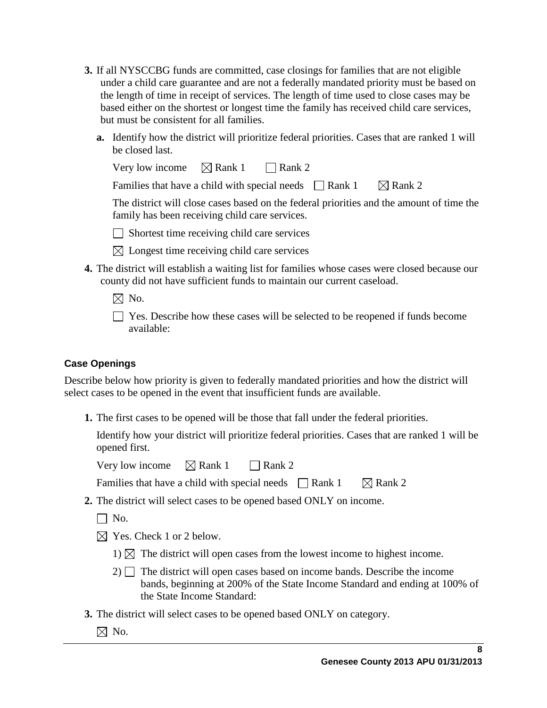- **3.** If all NYSCCBG funds are committed, case closings for families that are not eligible under a child care guarantee and are not a federally mandated priority must be based on the length of time in receipt of services. The length of time used to close cases may be based either on the shortest or longest time the family has received child care services, but must be consistent for all families.
	- **a.** Identify how the district will prioritize federal priorities. Cases that are ranked 1 will be closed last.

| Very low income $\boxtimes$ Rank 1 $\Box$ Rank 2            |  |                                                                                          |
|-------------------------------------------------------------|--|------------------------------------------------------------------------------------------|
| Families that have a child with special needs $\Box$ Rank 1 |  | $\boxtimes$ Rank 2                                                                       |
|                                                             |  | The district will close cases based on the federal priorities and the amount of time the |
| family has been receiving child care services.              |  |                                                                                          |

 $\Box$  Shortest time receiving child care services

- $\boxtimes$  Longest time receiving child care services
- **4.** The district will establish a waiting list for families whose cases were closed because our county did not have sufficient funds to maintain our current caseload.
	- $\boxtimes$  No.
	- Yes. Describe how these cases will be selected to be reopened if funds become available:

# **Case Openings**

Describe below how priority is given to federally mandated priorities and how the district will select cases to be opened in the event that insufficient funds are available.

**1.** The first cases to be opened will be those that fall under the federal priorities.

Identify how your district will prioritize federal priorities. Cases that are ranked 1 will be opened first.

Very low income  $\boxtimes$  Rank 1 Rank 2

Families that have a child with special needs  $\Box$  Rank 1  $\Box$  Rank 2

- **2.** The district will select cases to be opened based ONLY on income.
	- $\Box$  No.
	- $\boxtimes$  Yes. Check 1 or 2 below.
		- 1)  $\boxtimes$  The district will open cases from the lowest income to highest income.
		- $2)$  The district will open cases based on income bands. Describe the income bands, beginning at 200% of the State Income Standard and ending at 100% of the State Income Standard:
- **3.** The district will select cases to be opened based ONLY on category.
	- $\boxtimes$  No.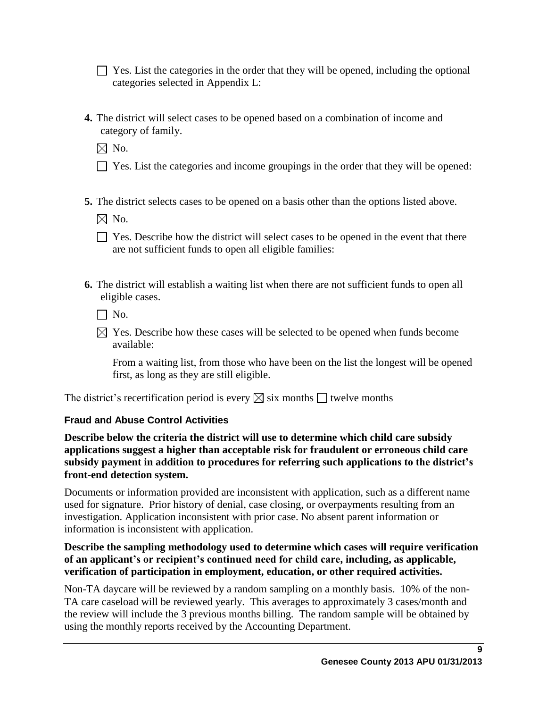$\Box$  Yes. List the categories in the order that they will be opened, including the optional categories selected in Appendix L:

**4.** The district will select cases to be opened based on a combination of income and category of family.

 $\boxtimes$  No.

- $\Box$  Yes. List the categories and income groupings in the order that they will be opened:
- **5.** The district selects cases to be opened on a basis other than the options listed above.

 $\boxtimes$  No.

- $\Box$  Yes. Describe how the district will select cases to be opened in the event that there are not sufficient funds to open all eligible families:
- **6.** The district will establish a waiting list when there are not sufficient funds to open all eligible cases.

 $\Box$  No.

 $\boxtimes$  Yes. Describe how these cases will be selected to be opened when funds become available:

From a waiting list, from those who have been on the list the longest will be opened first, as long as they are still eligible.

The district's recertification period is every  $\boxtimes$  six months  $\Box$  twelve months

# **Fraud and Abuse Control Activities**

**Describe below the criteria the district will use to determine which child care subsidy applications suggest a higher than acceptable risk for fraudulent or erroneous child care subsidy payment in addition to procedures for referring such applications to the district's front-end detection system.**

Documents or information provided are inconsistent with application, such as a different name used for signature. Prior history of denial, case closing, or overpayments resulting from an investigation. Application inconsistent with prior case. No absent parent information or information is inconsistent with application.

## **Describe the sampling methodology used to determine which cases will require verification of an applicant's or recipient's continued need for child care, including, as applicable, verification of participation in employment, education, or other required activities.**

Non-TA daycare will be reviewed by a random sampling on a monthly basis. 10% of the non-TA care caseload will be reviewed yearly. This averages to approximately 3 cases/month and the review will include the 3 previous months billing. The random sample will be obtained by using the monthly reports received by the Accounting Department.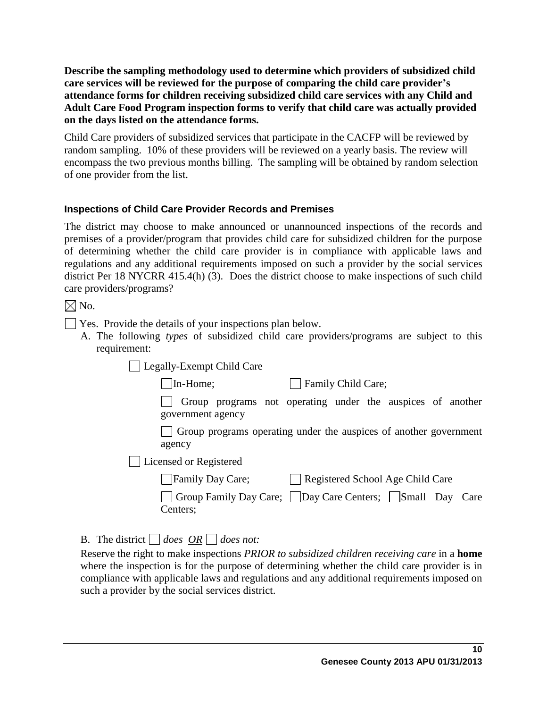**Describe the sampling methodology used to determine which providers of subsidized child care services will be reviewed for the purpose of comparing the child care provider's attendance forms for children receiving subsidized child care services with any Child and Adult Care Food Program inspection forms to verify that child care was actually provided on the days listed on the attendance forms.** 

Child Care providers of subsidized services that participate in the CACFP will be reviewed by random sampling. 10% of these providers will be reviewed on a yearly basis. The review will encompass the two previous months billing. The sampling will be obtained by random selection of one provider from the list.

## **Inspections of Child Care Provider Records and Premises**

The district may choose to make announced or unannounced inspections of the records and premises of a provider/program that provides child care for subsidized children for the purpose of determining whether the child care provider is in compliance with applicable laws and regulations and any additional requirements imposed on such a provider by the social services district Per 18 NYCRR 415.4(h) (3). Does the district choose to make inspections of such child care providers/programs?

 $\boxtimes$  No.

- Yes. Provide the details of your inspections plan below.
	- A. The following *types* of subsidized child care providers/programs are subject to this requirement:

Legally-Exempt Child Care

In-Home; Family Child Care;

Group programs not operating under the auspices of another government agency

Group programs operating under the auspices of another government agency

Licensed or Registered

| Family Day Care; | Registered School Age Child Care |
|------------------|----------------------------------|
|                  |                                  |

Group Family Day Care; Day Care Centers; Small Day Care Centers;

B. The district  $\Box$  does  $\overline{OR} \Box$  does not:

Reserve the right to make inspections *PRIOR to subsidized children receiving care* in a **home** where the inspection is for the purpose of determining whether the child care provider is in compliance with applicable laws and regulations and any additional requirements imposed on such a provider by the social services district.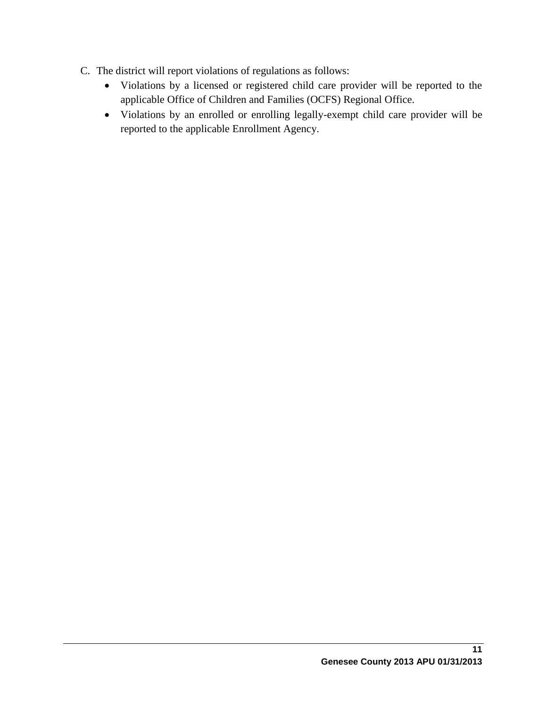- C. The district will report violations of regulations as follows:
	- Violations by a licensed or registered child care provider will be reported to the applicable Office of Children and Families (OCFS) Regional Office.
	- Violations by an enrolled or enrolling legally-exempt child care provider will be reported to the applicable Enrollment Agency.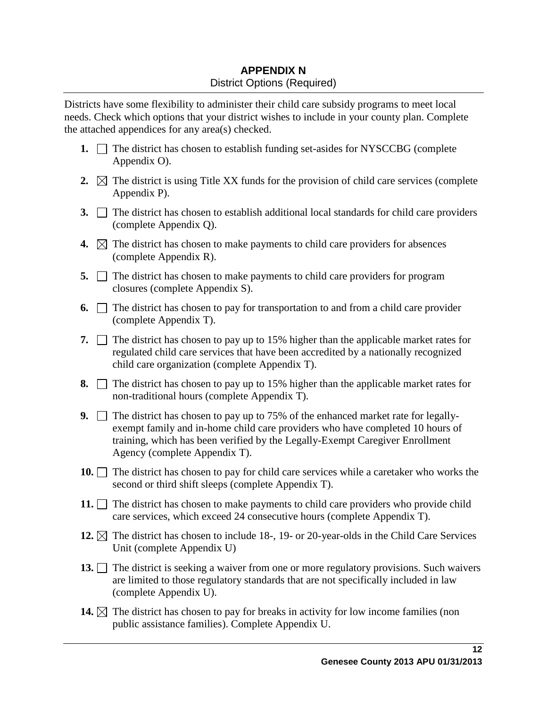# **APPENDIX N** District Options (Required)

Districts have some flexibility to administer their child care subsidy programs to meet local needs. Check which options that your district wishes to include in your county plan. Complete the attached appendices for any area(s) checked.

- **1.**  $\Box$  The district has chosen to establish funding set-asides for NYSCCBG (complete Appendix O).
- **2.**  $\boxtimes$  The district is using Title XX funds for the provision of child care services (complete Appendix P).
- **3.** The district has chosen to establish additional local standards for child care providers (complete Appendix Q).
- **4.**  $\boxtimes$  The district has chosen to make payments to child care providers for absences (complete Appendix R).
- **5.** The district has chosen to make payments to child care providers for program closures (complete Appendix S).
- **6.**  $\Box$  The district has chosen to pay for transportation to and from a child care provider (complete Appendix T).
- **7.**  $\Box$  The district has chosen to pay up to 15% higher than the applicable market rates for regulated child care services that have been accredited by a nationally recognized child care organization (complete Appendix T).
- **8.**  $\Box$  The district has chosen to pay up to 15% higher than the applicable market rates for non-traditional hours (complete Appendix T).
- **9.** The district has chosen to pay up to 75% of the enhanced market rate for legallyexempt family and in-home child care providers who have completed 10 hours of training, which has been verified by the Legally-Exempt Caregiver Enrollment Agency (complete Appendix T).
- **10.** The district has chosen to pay for child care services while a caretaker who works the second or third shift sleeps (complete Appendix T).
- **11.**  $\Box$  The district has chosen to make payments to child care providers who provide child care services, which exceed 24 consecutive hours (complete Appendix T).
- **12.**  $\boxtimes$  The district has chosen to include 18-, 19- or 20-year-olds in the Child Care Services Unit (complete Appendix U)
- **13.** The district is seeking a waiver from one or more regulatory provisions. Such waivers are limited to those regulatory standards that are not specifically included in law (complete Appendix U).
- **14.**  $\boxtimes$  The district has chosen to pay for breaks in activity for low income families (non public assistance families). Complete Appendix U.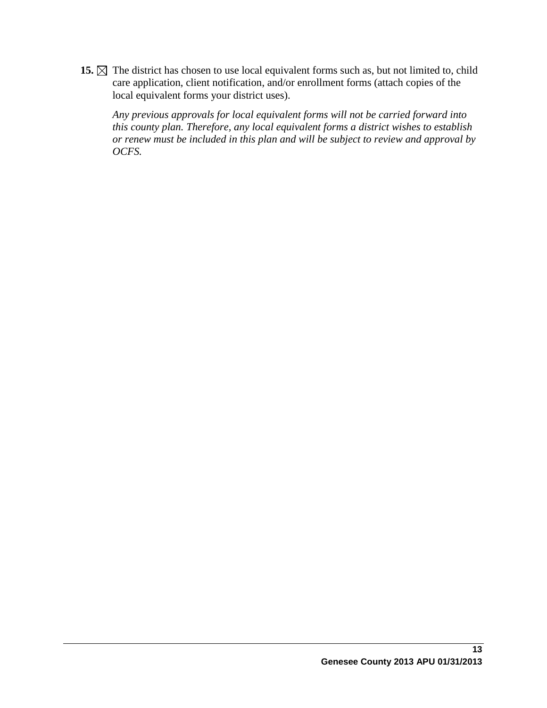15.  $\boxtimes$  The district has chosen to use local equivalent forms such as, but not limited to, child care application, client notification, and/or enrollment forms (attach copies of the local equivalent forms your district uses).

*Any previous approvals for local equivalent forms will not be carried forward into this county plan. Therefore, any local equivalent forms a district wishes to establish or renew must be included in this plan and will be subject to review and approval by OCFS.*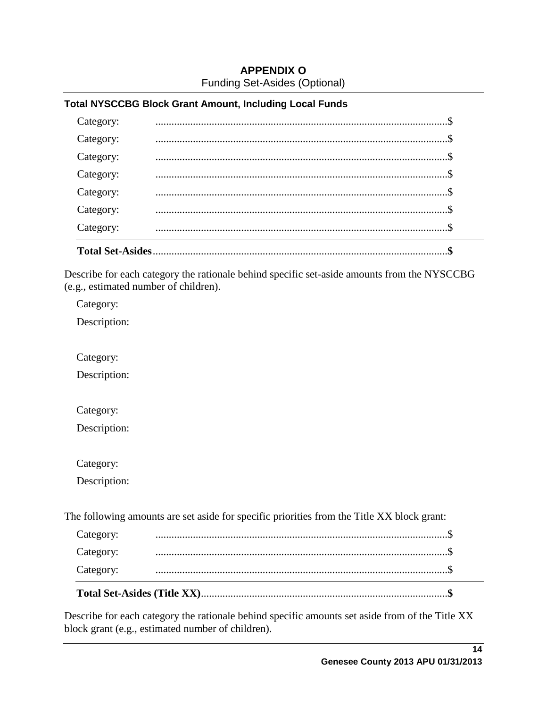# **APPENDIX O** Funding Set-Asides (Optional)

### **Total NYSCCBG Block Grant Amount, Including Local Funds**

| <b>Total Set-Asides</b> |  |
|-------------------------|--|
| Category:               |  |
| Category:               |  |
| Category:               |  |
| Category:               |  |
| Category:               |  |
| Category:               |  |
| Category:               |  |
|                         |  |

Describe for each category the rationale behind specific set-aside amounts from the NYSCCBG (e.g., estimated number of children).

Category:

Description:

Category:

Description:

Category:

Description:

Category:

Description:

The following amounts are set aside for specific priorities from the Title XX block grant:

| Category: |  |
|-----------|--|
| Category: |  |
| Category: |  |

Describe for each category the rationale behind specific amounts set aside from of the Title XX block grant (e.g., estimated number of children).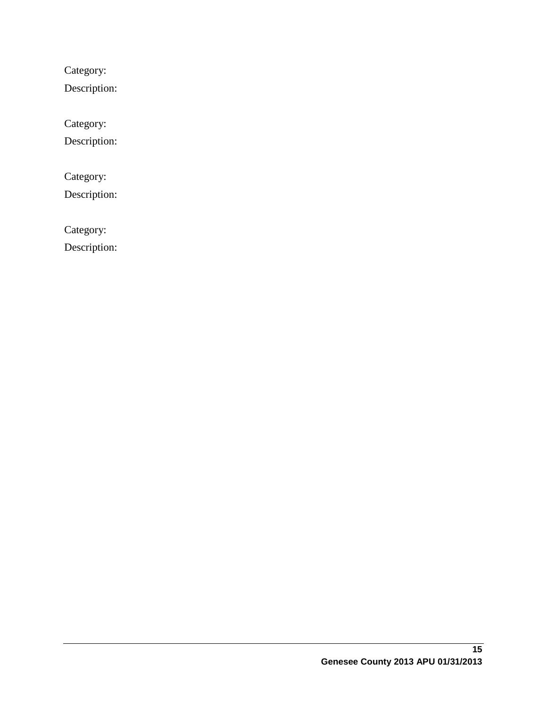Category:

Description:

Category:

Description:

Category:

Description:

Category:

Description: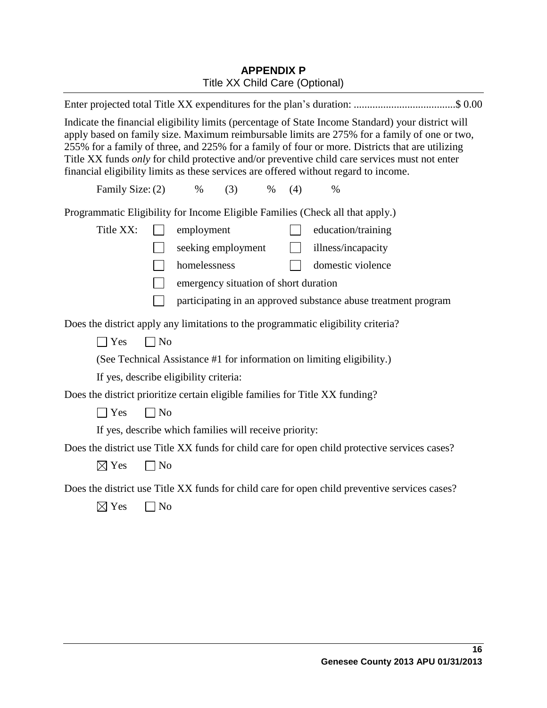# **APPENDIX P** Title XX Child Care (Optional)

| Enter projected total Title XX expenditures for the plan's duration: \$ 0.00                                                                                                                                                                                                                                                                                                                                                                                                                   |  |  |
|------------------------------------------------------------------------------------------------------------------------------------------------------------------------------------------------------------------------------------------------------------------------------------------------------------------------------------------------------------------------------------------------------------------------------------------------------------------------------------------------|--|--|
| Indicate the financial eligibility limits (percentage of State Income Standard) your district will<br>apply based on family size. Maximum reimbursable limits are 275% for a family of one or two,<br>255% for a family of three, and 225% for a family of four or more. Districts that are utilizing<br>Title XX funds only for child protective and/or preventive child care services must not enter<br>financial eligibility limits as these services are offered without regard to income. |  |  |
| Family Size: (2)<br>$\%$<br>(3)<br>$\%$<br>(4)<br>$\%$                                                                                                                                                                                                                                                                                                                                                                                                                                         |  |  |
| Programmatic Eligibility for Income Eligible Families (Check all that apply.)                                                                                                                                                                                                                                                                                                                                                                                                                  |  |  |
| Title XX:<br>employment<br>education/training                                                                                                                                                                                                                                                                                                                                                                                                                                                  |  |  |
| illness/incapacity<br>seeking employment<br>$\mathbb{R}^n$                                                                                                                                                                                                                                                                                                                                                                                                                                     |  |  |
| domestic violence<br>homelessness                                                                                                                                                                                                                                                                                                                                                                                                                                                              |  |  |
| emergency situation of short duration                                                                                                                                                                                                                                                                                                                                                                                                                                                          |  |  |
| participating in an approved substance abuse treatment program                                                                                                                                                                                                                                                                                                                                                                                                                                 |  |  |
| Does the district apply any limitations to the programmatic eligibility criteria?                                                                                                                                                                                                                                                                                                                                                                                                              |  |  |
| $\Box$ No<br>$\exists$ Yes                                                                                                                                                                                                                                                                                                                                                                                                                                                                     |  |  |
| (See Technical Assistance #1 for information on limiting eligibility.)                                                                                                                                                                                                                                                                                                                                                                                                                         |  |  |
| If yes, describe eligibility criteria:                                                                                                                                                                                                                                                                                                                                                                                                                                                         |  |  |
| Does the district prioritize certain eligible families for Title XX funding?                                                                                                                                                                                                                                                                                                                                                                                                                   |  |  |
| $\Box$ Yes<br>$\Box$ No                                                                                                                                                                                                                                                                                                                                                                                                                                                                        |  |  |
| If yes, describe which families will receive priority:                                                                                                                                                                                                                                                                                                                                                                                                                                         |  |  |
| Does the district use Title XX funds for child care for open child protective services cases?                                                                                                                                                                                                                                                                                                                                                                                                  |  |  |
| $\boxtimes$ Yes<br>$\neg$ No                                                                                                                                                                                                                                                                                                                                                                                                                                                                   |  |  |
| Does the district use Title XX funds for child care for open child preventive services cases?                                                                                                                                                                                                                                                                                                                                                                                                  |  |  |
| $\boxtimes$ Yes<br>$\log$                                                                                                                                                                                                                                                                                                                                                                                                                                                                      |  |  |
|                                                                                                                                                                                                                                                                                                                                                                                                                                                                                                |  |  |
|                                                                                                                                                                                                                                                                                                                                                                                                                                                                                                |  |  |
|                                                                                                                                                                                                                                                                                                                                                                                                                                                                                                |  |  |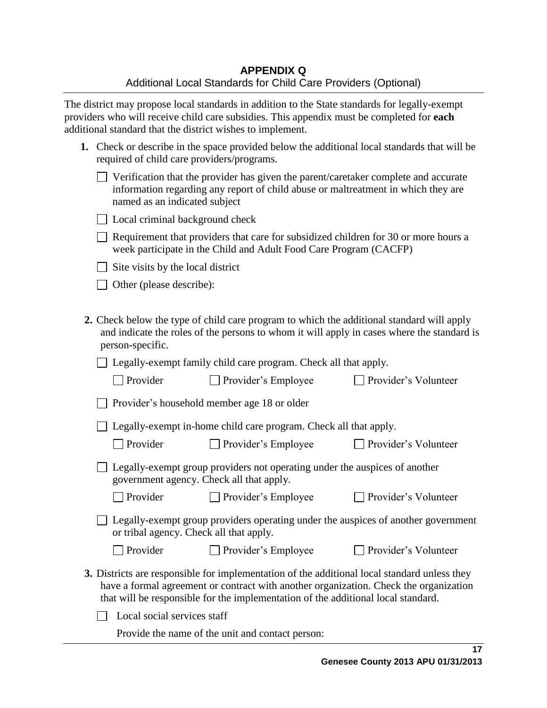The district may propose local standards in addition to the State standards for legally-exempt providers who will receive child care subsidies. This appendix must be completed for **each** additional standard that the district wishes to implement.

| 1. Check or describe in the space provided below the additional local standards that will be |
|----------------------------------------------------------------------------------------------|
| required of child care providers/programs.                                                   |

| $\Box$ Verification that the provider has given the parent/caretaker complete and accurate |
|--------------------------------------------------------------------------------------------|
| information regarding any report of child abuse or maltreatment in which they are          |
| named as an indicated subject                                                              |

 $\Box$  Local criminal background check

 $\Box$  Requirement that providers that care for subsidized children for 30 or more hours a week participate in the Child and Adult Food Care Program (CACFP)

 $\Box$  Site visits by the local district

□ Other (please describe):

**2.** Check below the type of child care program to which the additional standard will apply and indicate the roles of the persons to whom it will apply in cases where the standard is person-specific.

□ Legally-exempt family child care program. Check all that apply.

| $\Box$ Provider | $\Box$ Provider's Employee | <b>Provider's Volunteer</b> |
|-----------------|----------------------------|-----------------------------|
|-----------------|----------------------------|-----------------------------|

□ Legally-exempt in-home child care program. Check all that apply.

□ Provider Provider's Employee Provider's Volunteer

| □ Legally-exempt group providers not operating under the auspices of another |  |
|------------------------------------------------------------------------------|--|
| government agency. Check all that apply.                                     |  |

□ Provider Provider's Employee Provider's Volunteer

□ Legally-exempt group providers operating under the auspices of another government or tribal agency. Check all that apply.

□ Provider Provider's Employee Provider's Volunteer

- 
- **3.** Districts are responsible for implementation of the additional local standard unless they have a formal agreement or contract with another organization. Check the organization that will be responsible for the implementation of the additional local standard.

 $\Box$  Local social services staff

Provide the name of the unit and contact person: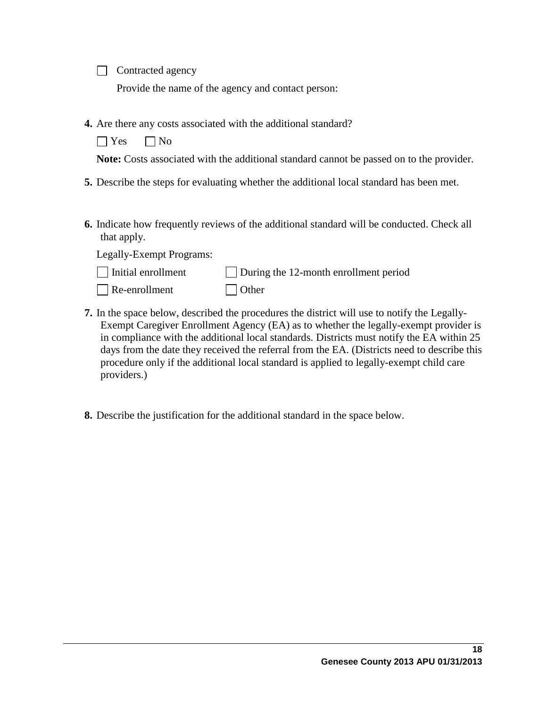Contracted agency

Provide the name of the agency and contact person:

**4.** Are there any costs associated with the additional standard?

 $\bigcap$  Yes  $\bigcap$  No

**Note:** Costs associated with the additional standard cannot be passed on to the provider.

- **5.** Describe the steps for evaluating whether the additional local standard has been met.
- **6.** Indicate how frequently reviews of the additional standard will be conducted. Check all that apply.

Legally-Exempt Programs:

providers.)

| $\Box$ Initial enrollment | During the 12-month enrollment period |  |  |
|---------------------------|---------------------------------------|--|--|
| $\Box$ Re-enrollment      | $\Box$ Other                          |  |  |

- **7.** In the space below, described the procedures the district will use to notify the Legally-Exempt Caregiver Enrollment Agency (EA) as to whether the legally-exempt provider is in compliance with the additional local standards. Districts must notify the EA within 25 days from the date they received the referral from the EA. (Districts need to describe this procedure only if the additional local standard is applied to legally-exempt child care
	- **8.** Describe the justification for the additional standard in the space below.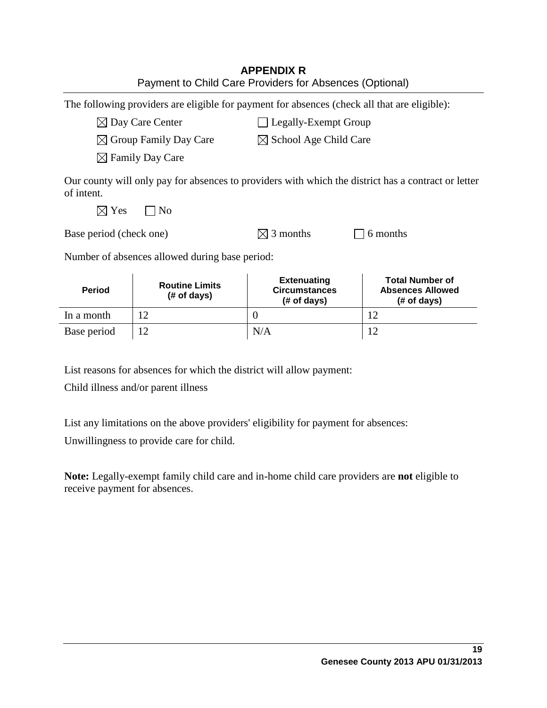| <b>APPENDIX R</b>                                       |
|---------------------------------------------------------|
| Payment to Child Care Providers for Absences (Optional) |

The following providers are eligible for payment for absences (check all that are eligible):

 $\boxtimes$  Day Care Center  $\Box$  Legally-Exempt Group

 $\boxtimes$  Group Family Day Care  $\boxtimes$  School Age Child Care

 $\boxtimes$  Family Day Care

Our county will only pay for absences to providers with which the district has a contract or letter of intent.

 $\boxtimes$  Yes  $\Box$  No

| Base period (check one) | $\boxtimes$ 3 months | $\Box$ 6 months |
|-------------------------|----------------------|-----------------|

Number of absences allowed during base period:

| <b>Period</b> | <b>Routine Limits</b><br>$#$ of days) | <b>Extenuating</b><br><b>Circumstances</b><br>$#$ of days) | <b>Total Number of</b><br><b>Absences Allowed</b><br>$#$ of days) |
|---------------|---------------------------------------|------------------------------------------------------------|-------------------------------------------------------------------|
| In a month    |                                       |                                                            | 1つ                                                                |
| Base period   |                                       | N/A                                                        |                                                                   |

List reasons for absences for which the district will allow payment:

Child illness and/or parent illness

List any limitations on the above providers' eligibility for payment for absences:

Unwillingness to provide care for child.

**Note:** Legally-exempt family child care and in-home child care providers are **not** eligible to receive payment for absences.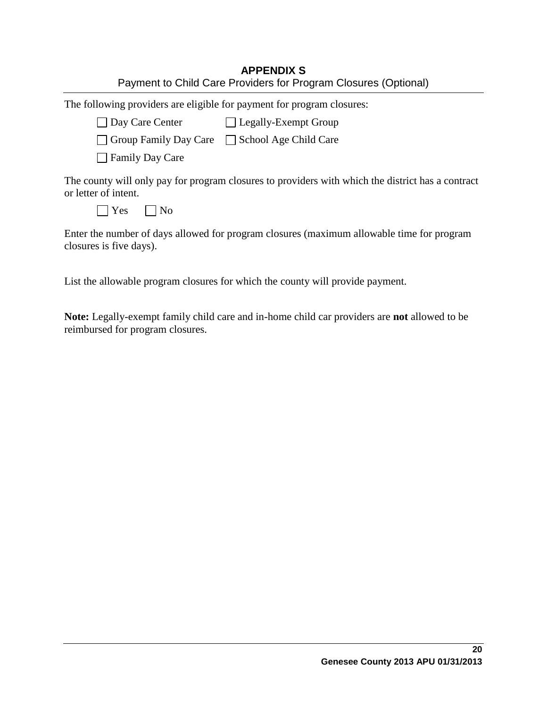| <b>APPENDIX S</b>                                               |
|-----------------------------------------------------------------|
| Payment to Child Care Providers for Program Closures (Optional) |

The following providers are eligible for payment for program closures:  $\Box$  Day Care Center  $\Box$  Legally-Exempt Group  $\Box$  Group Family Day Care  $\Box$  School Age Child Care **□ Family Day Care** The county will only pay for program closures to providers with which the district has a contract or letter of intent.  $\bigcap$  Yes  $\bigcap$  No

Enter the number of days allowed for program closures (maximum allowable time for program closures is five days).

List the allowable program closures for which the county will provide payment.

**Note:** Legally-exempt family child care and in-home child car providers are **not** allowed to be reimbursed for program closures.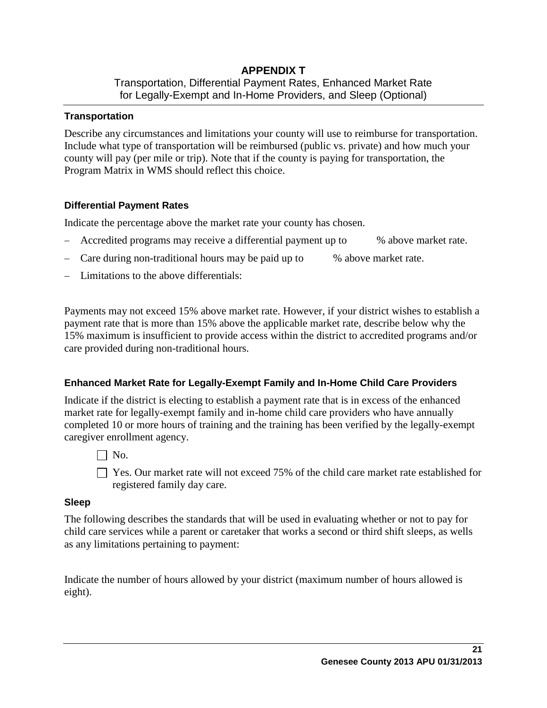## **APPENDIX T** Transportation, Differential Payment Rates, Enhanced Market Rate for Legally-Exempt and In-Home Providers, and Sleep (Optional)

## **Transportation**

Describe any circumstances and limitations your county will use to reimburse for transportation. Include what type of transportation will be reimbursed (public vs. private) and how much your county will pay (per mile or trip). Note that if the county is paying for transportation, the Program Matrix in WMS should reflect this choice.

## **Differential Payment Rates**

Indicate the percentage above the market rate your county has chosen.

- Accredited programs may receive a differential payment up to % above market rate.
- Care during non-traditional hours may be paid up to % above market rate.
- Limitations to the above differentials:

Payments may not exceed 15% above market rate. However, if your district wishes to establish a payment rate that is more than 15% above the applicable market rate, describe below why the 15% maximum is insufficient to provide access within the district to accredited programs and/or care provided during non-traditional hours.

## **Enhanced Market Rate for Legally-Exempt Family and In-Home Child Care Providers**

Indicate if the district is electing to establish a payment rate that is in excess of the enhanced market rate for legally-exempt family and in-home child care providers who have annually completed 10 or more hours of training and the training has been verified by the legally-exempt caregiver enrollment agency.

 $\Box$  No.

 $\Box$  Yes. Our market rate will not exceed 75% of the child care market rate established for registered family day care.

## **Sleep**

The following describes the standards that will be used in evaluating whether or not to pay for child care services while a parent or caretaker that works a second or third shift sleeps, as wells as any limitations pertaining to payment:

Indicate the number of hours allowed by your district (maximum number of hours allowed is eight).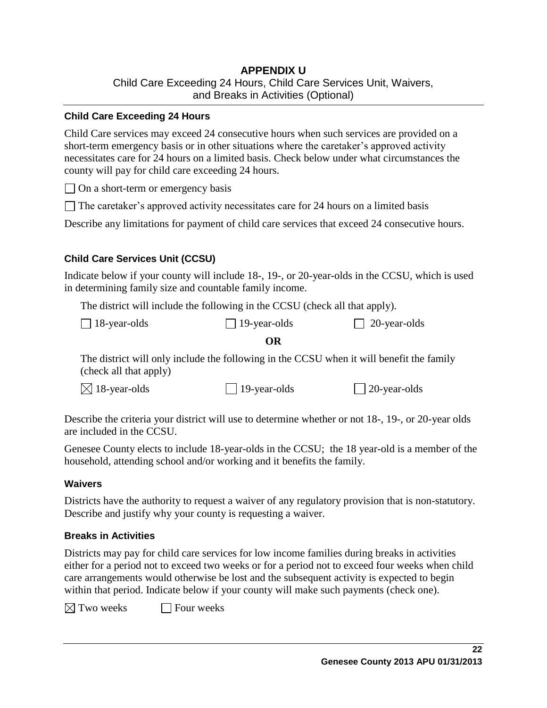## **APPENDIX U** Child Care Exceeding 24 Hours, Child Care Services Unit, Waivers, and Breaks in Activities (Optional)

#### **Child Care Exceeding 24 Hours**

Child Care services may exceed 24 consecutive hours when such services are provided on a short-term emergency basis or in other situations where the caretaker's approved activity necessitates care for 24 hours on a limited basis. Check below under what circumstances the county will pay for child care exceeding 24 hours.

 $\Box$  On a short-term or emergency basis

 $\Box$  The caretaker's approved activity necessitates care for 24 hours on a limited basis

Describe any limitations for payment of child care services that exceed 24 consecutive hours.

#### **Child Care Services Unit (CCSU)**

Indicate below if your county will include 18-, 19-, or 20-year-olds in the CCSU, which is used in determining family size and countable family income.

The district will include the following in the CCSU (check all that apply).

| $\Box$ 18-year-olds | $\Box$ 19-year-olds | $\Box$ 20-year-olds |
|---------------------|---------------------|---------------------|
|---------------------|---------------------|---------------------|

#### **OR**

The district will only include the following in the CCSU when it will benefit the family (check all that apply)

 $\boxtimes$  18-year-olds 19-year-olds 20-year-olds

Describe the criteria your district will use to determine whether or not 18-, 19-, or 20-year olds are included in the CCSU.

Genesee County elects to include 18-year-olds in the CCSU; the 18 year-old is a member of the household, attending school and/or working and it benefits the family.

#### **Waivers**

Districts have the authority to request a waiver of any regulatory provision that is non-statutory. Describe and justify why your county is requesting a waiver.

## **Breaks in Activities**

Districts may pay for child care services for low income families during breaks in activities either for a period not to exceed two weeks or for a period not to exceed four weeks when child care arrangements would otherwise be lost and the subsequent activity is expected to begin within that period. Indicate below if your county will make such payments (check one).

 $\boxtimes$  Two weeks  $\Box$  Four weeks